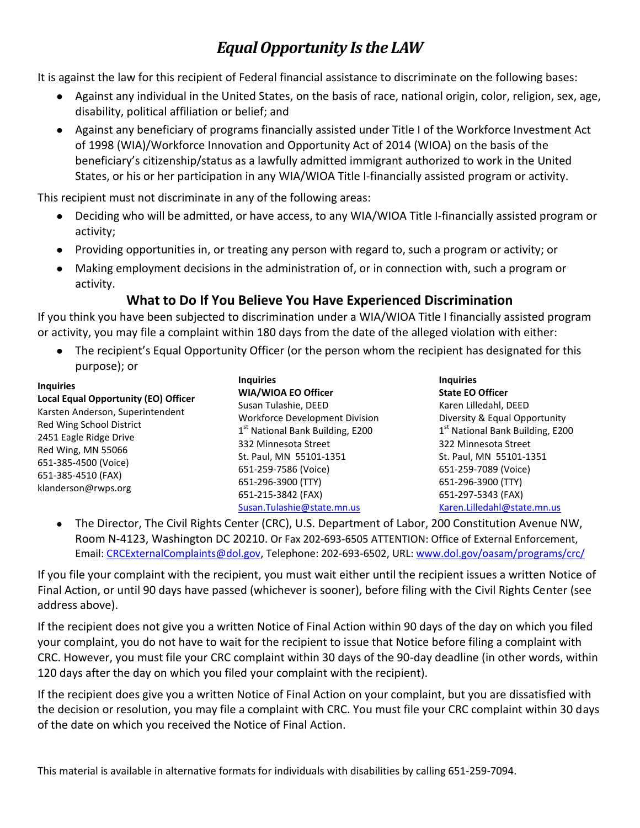# *Equal Opportunity Is the LAW*

It is against the law for this recipient of Federal financial assistance to discriminate on the following bases:

- Against any individual in the United States, on the basis of race, national origin, color, religion, sex, age, disability, political affiliation or belief; and
- Against any beneficiary of programs financially assisted under Title I of the Workforce Investment Act of 1998 (WIA)/Workforce Innovation and Opportunity Act of 2014 (WIOA) on the basis of the beneficiary's citizenship/status as a lawfully admitted immigrant authorized to work in the United States, or his or her participation in any WIA/WIOA Title I-financially assisted program or activity.

This recipient must not discriminate in any of the following areas:

- Deciding who will be admitted, or have access, to any WIA/WIOA Title I-financially assisted program or activity;
- Providing opportunities in, or treating any person with regard to, such a program or activity; or
- Making employment decisions in the administration of, or in connection with, such a program or activity.

## **What to Do If You Believe You Have Experienced Discrimination**

If you think you have been subjected to discrimination under a WIA/WIOA Title I financially assisted program or activity, you may file a complaint within 180 days from the date of the alleged violation with either:

• The recipient's Equal Opportunity Officer (or the person whom the recipient has designated for this purpose); or

| <b>Inquiries</b>                                                                                                                                                                                                          | <b>Inquiries</b>                             | <b>Inquiries</b>                             |
|---------------------------------------------------------------------------------------------------------------------------------------------------------------------------------------------------------------------------|----------------------------------------------|----------------------------------------------|
|                                                                                                                                                                                                                           | <b>WIA/WIOA EO Officer</b>                   | <b>State EO Officer</b>                      |
| Local Equal Opportunity (EO) Officer<br>Karsten Anderson, Superintendent<br>Red Wing School District<br>2451 Eagle Ridge Drive<br>Red Wing, MN 55066<br>651-385-4500 (Voice)<br>651-385-4510 (FAX)<br>klanderson@rwps.org | Susan Tulashie, DEED                         | Karen Lilledahl, DEED                        |
|                                                                                                                                                                                                                           | <b>Workforce Development Division</b>        | Diversity & Equal Opportunity                |
|                                                                                                                                                                                                                           | 1 <sup>st</sup> National Bank Building, E200 | 1 <sup>st</sup> National Bank Building, E200 |
|                                                                                                                                                                                                                           | 332 Minnesota Street                         | 322 Minnesota Street                         |
|                                                                                                                                                                                                                           | St. Paul, MN 55101-1351                      | St. Paul, MN 55101-1351                      |
|                                                                                                                                                                                                                           | 651-259-7586 (Voice)                         | 651-259-7089 (Voice)                         |
|                                                                                                                                                                                                                           | 651-296-3900 (TTY)                           | 651-296-3900 (TTY)                           |
|                                                                                                                                                                                                                           | 651-215-3842 (FAX)                           | 651-297-5343 (FAX)                           |
|                                                                                                                                                                                                                           | Susan.Tulashie@state.mn.us                   | Karen.Lilledahl@state.mn.us                  |

 The Director, The Civil Rights Center (CRC), U.S. Department of Labor, 200 Constitution Avenue NW, Room N-4123, Washington DC 20210. Or Fax 202-693-6505 ATTENTION: Office of External Enforcement, Email: [CRCExternalComplaints@dol.gov,](mailto:CRCExternalComplaints@dol.gov) Telephone: 202-693-6502, URL: [www.dol.gov/oasam/programs/crc/](http://www.dol.gov/oasam/programs/crc/)

If you file your complaint with the recipient, you must wait either until the recipient issues a written Notice of Final Action, or until 90 days have passed (whichever is sooner), before filing with the Civil Rights Center (see address above).

If the recipient does not give you a written Notice of Final Action within 90 days of the day on which you filed your complaint, you do not have to wait for the recipient to issue that Notice before filing a complaint with CRC. However, you must file your CRC complaint within 30 days of the 90-day deadline (in other words, within 120 days after the day on which you filed your complaint with the recipient).

If the recipient does give you a written Notice of Final Action on your complaint, but you are dissatisfied with the decision or resolution, you may file a complaint with CRC. You must file your CRC complaint within 30 days of the date on which you received the Notice of Final Action.